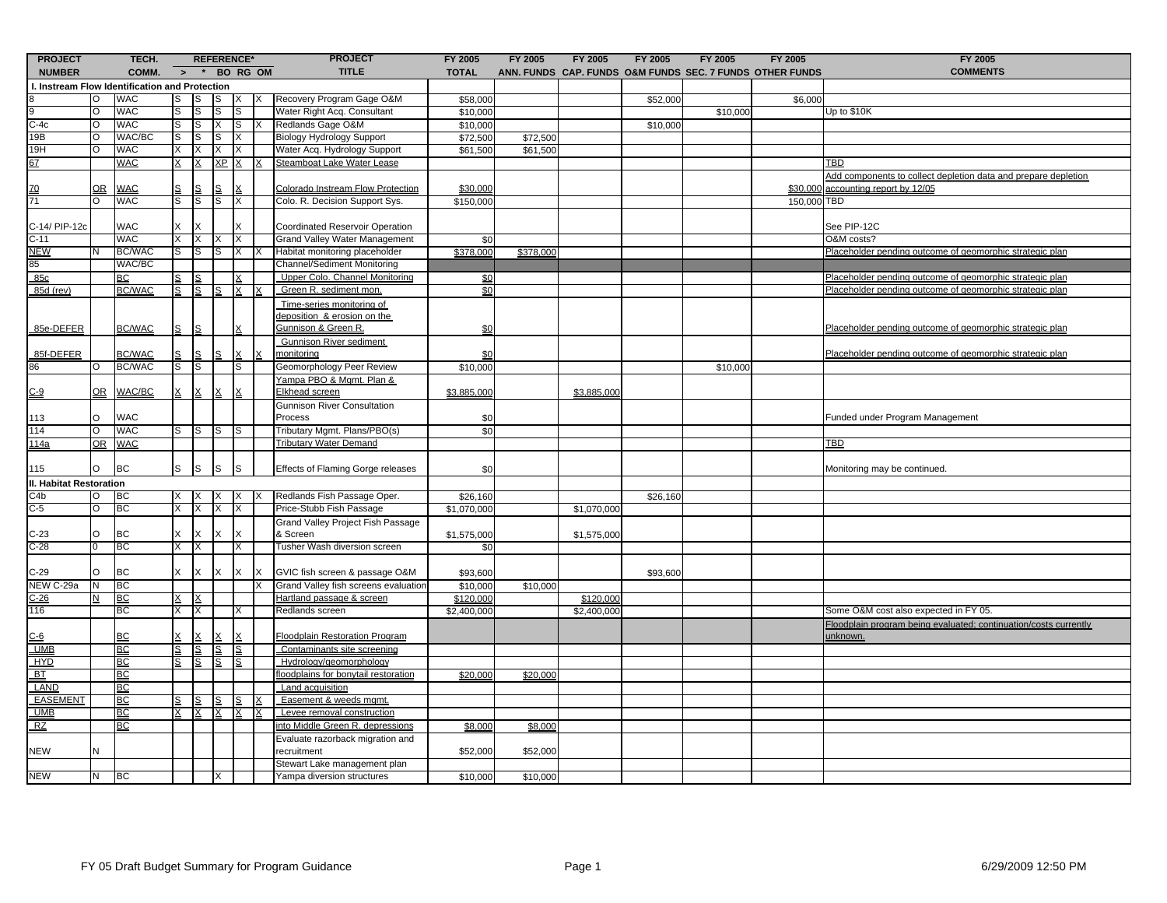| <b>PROJECT</b><br><b>NUMBER</b>                |           | TECH.<br>COMM.            | $\rightarrow$  | <b>REFERENCE*</b><br>$\star$ |          |          | <b>BO RG OM</b> | <b>PROJECT</b><br><b>TITLE</b>                                  | FY 2005<br><b>TOTAL</b>  | FY 2005   | FY 2005                  | FY 2005  | FY 2005<br>ANN. FUNDS CAP. FUNDS O&M FUNDS SEC. 7 FUNDS OTHER FUNDS | FY 2005     | FY 2005<br><b>COMMENTS</b>                                       |
|------------------------------------------------|-----------|---------------------------|----------------|------------------------------|----------|----------|-----------------|-----------------------------------------------------------------|--------------------------|-----------|--------------------------|----------|---------------------------------------------------------------------|-------------|------------------------------------------------------------------|
| I. Instream Flow Identification and Protection |           |                           |                |                              |          |          |                 |                                                                 |                          |           |                          |          |                                                                     |             |                                                                  |
|                                                |           | WAC                       | s              |                              |          |          |                 | Recovery Program Gage O&M                                       | \$58,000                 |           |                          | \$52,000 |                                                                     | \$6,000     |                                                                  |
|                                                | $\Omega$  | WAC                       | S              | S                            | S        | S        |                 | Water Right Acq. Consultant                                     | \$10,000                 |           |                          |          | \$10,000                                                            |             | Up to \$10K                                                      |
| $\frac{9}{C-4c}$                               | ō         | <b>WAC</b>                | S              | S                            | X.       | IS       |                 | Redlands Gage O&M                                               | \$10,000                 |           |                          | \$10,000 |                                                                     |             |                                                                  |
| 19B                                            | O         | WAC/BC                    | S              | lS                           | s        | х        |                 | <b>Biology Hydrology Support</b>                                | \$72,500                 | \$72,500  |                          |          |                                                                     |             |                                                                  |
| 19H                                            | <b>O</b>  | WAC                       | X.             | X                            | x        | X        |                 | Water Acq. Hydrology Support                                    | \$61,500                 | \$61,500  |                          |          |                                                                     |             |                                                                  |
| 67                                             |           | WAC                       |                |                              | ΧP       | $\times$ |                 | Steamboat Lake Water Lease                                      |                          |           |                          |          |                                                                     |             | TBD                                                              |
|                                                |           |                           |                |                              |          |          |                 |                                                                 |                          |           |                          |          |                                                                     |             | Add components to collect depletion data and prepare depletion   |
|                                                | <u>OR</u> | <b>WAC</b>                |                |                              |          |          |                 | Colorado Instream Flow Protection                               | \$30,000                 |           |                          |          |                                                                     |             | \$30,000 accounting report by 12/05                              |
| $\frac{70}{71}$                                | Ō         | <b>WAC</b>                | $\overline{s}$ | S                            | S        | X        |                 | Colo. R. Decision Support Sys.                                  | \$150,000                |           |                          |          |                                                                     | 150,000 TBD |                                                                  |
|                                                |           |                           |                |                              |          |          |                 |                                                                 |                          |           |                          |          |                                                                     |             |                                                                  |
| C-14/ PIP-12c                                  |           | WAC                       |                |                              |          |          |                 | Coordinated Reservoir Operation                                 |                          |           |                          |          |                                                                     |             | See PIP-12C                                                      |
| $C-11$                                         |           | WAC                       |                |                              |          | Χ        |                 | <b>Grand Valley Water Management</b>                            | \$0                      |           |                          |          |                                                                     |             | O&M costs?                                                       |
| NEW                                            |           | <b>BC/WAC</b>             | S              | S                            | s        | х        |                 | Habitat monitoring placeholder                                  | \$378,000                | \$378,000 |                          |          |                                                                     |             | Placeholder pending outcome of geomorphic strategic plan         |
| 85                                             |           | WAC/BC                    |                |                              |          |          |                 | Channel/Sediment Monitoring                                     |                          |           |                          |          |                                                                     |             |                                                                  |
| 85c                                            |           | <u>BC</u>                 |                |                              |          |          |                 | Upper Colo. Channel Monitoring                                  | \$0                      |           |                          |          |                                                                     |             | Placeholder pending outcome of geomorphic strategic plan         |
| 85d (rev)                                      |           | <b>BC/WAC</b>             | s              | S                            | s        | X        |                 | Green R. sediment mon.                                          | \$0                      |           |                          |          |                                                                     |             | <u>Placeholder pending outcome of geomorphic strategic plan</u>  |
|                                                |           |                           |                |                              |          |          |                 |                                                                 |                          |           |                          |          |                                                                     |             |                                                                  |
|                                                |           |                           |                |                              |          |          |                 | Time-series monitoring of<br>deposition & erosion on the        |                          |           |                          |          |                                                                     |             |                                                                  |
| 85e-DEFER                                      |           | <b>BC/WAC</b>             | S              | S                            |          |          |                 | Gunnison & Green R.                                             | \$0                      |           |                          |          |                                                                     |             | Placeholder pending outcome of geomorphic strategic plan         |
|                                                |           |                           |                |                              |          |          |                 | <b>Gunnison River sediment</b>                                  |                          |           |                          |          |                                                                     |             |                                                                  |
| 85f-DEFER                                      |           | <b>BC/WAC</b>             |                |                              |          |          |                 | nonitoring                                                      | \$0                      |           |                          |          |                                                                     |             | Placeholder pending outcome of geomorphic strategic plan         |
| 86                                             |           | <b>BC/WAC</b>             | S              | S                            |          | s        |                 | Geomorphology Peer Review                                       | \$10,000                 |           |                          |          | \$10,000                                                            |             |                                                                  |
|                                                |           |                           |                |                              |          |          |                 | Yampa PBO & Mgmt. Plan &                                        |                          |           |                          |          |                                                                     |             |                                                                  |
| $C-9$                                          | OR        | WAC/BC                    |                |                              |          |          |                 | Elkhead screen                                                  | \$3,885,000              |           | \$3,885,000              |          |                                                                     |             |                                                                  |
|                                                |           |                           |                |                              |          |          |                 | <b>Gunnison River Consultation</b>                              |                          |           |                          |          |                                                                     |             |                                                                  |
| 113                                            | O         | <b>WAC</b>                |                |                              |          |          |                 | Process                                                         | \$0                      |           |                          |          |                                                                     |             | Funded under Program Management                                  |
| 114                                            | <b>O</b>  | <b>WAC</b>                | s              | S                            | S        | IS       |                 | Tributary Mgmt. Plans/PBO(s)                                    | \$0                      |           |                          |          |                                                                     |             |                                                                  |
| 114a                                           |           | OR WAC                    |                |                              |          |          |                 | <b>Tributary Water Demand</b>                                   |                          |           |                          |          |                                                                     |             | TBD                                                              |
|                                                |           |                           |                |                              |          |          |                 |                                                                 |                          |           |                          |          |                                                                     |             |                                                                  |
| 115                                            | Ю         | BC                        | S              | S                            | S        | S        |                 | Effects of Flaming Gorge releases                               | \$0                      |           |                          |          |                                                                     |             | Monitoring may be continued.                                     |
|                                                |           |                           |                |                              |          |          |                 |                                                                 |                          |           |                          |          |                                                                     |             |                                                                  |
| II. Habitat Restoration<br>C4b                 |           | BC                        |                |                              |          | х        |                 | Redlands Fish Passage Oper.                                     | \$26,160                 |           |                          |          |                                                                     |             |                                                                  |
| $C-5$                                          | O<br>O    | BC                        | X.<br>X        | x                            | X        | X        |                 |                                                                 | \$1,070,000              |           |                          | \$26,160 |                                                                     |             |                                                                  |
|                                                |           |                           |                |                              |          |          |                 | Price-Stubb Fish Passage                                        |                          |           | \$1,070,000              |          |                                                                     |             |                                                                  |
|                                                | $\circ$   | BC                        |                |                              |          |          |                 | Grand Valley Project Fish Passage<br>& Screen                   |                          |           |                          |          |                                                                     |             |                                                                  |
| $C-23$<br>$C-28$                               | 0         | BC                        | Χ              | X                            |          | х        |                 | Tusher Wash diversion screen                                    | \$1,575,000              |           | \$1,575,000              |          |                                                                     |             |                                                                  |
|                                                |           |                           |                |                              |          |          |                 |                                                                 | \$0                      |           |                          |          |                                                                     |             |                                                                  |
| $C-29$                                         | O         | BC                        | X.             | X                            |          | X        |                 | GVIC fish screen & passage O&M                                  | \$93,600                 |           |                          |          |                                                                     |             |                                                                  |
| NEW C-29a                                      |           | BC                        |                |                              |          |          |                 | Grand Valley fish screens evaluation                            | \$10,000                 | \$10,000  |                          | \$93,600 |                                                                     |             |                                                                  |
|                                                |           | BC                        |                |                              |          |          |                 |                                                                 |                          |           |                          |          |                                                                     |             |                                                                  |
| $C-26$<br>116                                  |           | BC                        | X.             | х                            |          | х        |                 | Hartland passage & screen<br>Redlands screen                    | \$120,000<br>\$2,400,000 |           | \$120,000<br>\$2,400,000 |          |                                                                     |             | Some O&M cost also expected in FY 05.                            |
|                                                |           |                           |                |                              |          |          |                 |                                                                 |                          |           |                          |          |                                                                     |             |                                                                  |
|                                                |           |                           |                |                              |          |          |                 | <b>Floodplain Restoration Program</b>                           |                          |           |                          |          |                                                                     |             | Floodplain program being evaluated; continuation/costs currently |
| <u>C-6</u><br>UMB                              |           | <u>BC</u>                 |                | S                            |          |          |                 |                                                                 |                          |           |                          |          |                                                                     |             | unknown.                                                         |
| <b>HYD</b>                                     |           | <u>BC</u>                 | <u>s</u><br>S  |                              | <u>s</u> | S        |                 | Contaminants site screening                                     |                          |           |                          |          |                                                                     |             |                                                                  |
| BT                                             |           | BC<br><b>BC</b>           |                |                              |          | S        |                 | Hydrology/geomorphology<br>floodplains for bonytail restoration |                          |           |                          |          |                                                                     |             |                                                                  |
| LAND                                           |           |                           |                |                              |          |          |                 |                                                                 | \$20,000                 | \$20,000  |                          |          |                                                                     |             |                                                                  |
|                                                |           | BC                        |                |                              |          |          |                 | Land acquisition                                                |                          |           |                          |          |                                                                     |             |                                                                  |
| <b>EASEMENT</b>                                |           | $\underline{\mathsf{BC}}$ |                |                              |          |          |                 | Easement & weeds mgmt                                           |                          |           |                          |          |                                                                     |             |                                                                  |
| UMB                                            |           | BC                        |                |                              |          |          |                 | Levee removal construction                                      |                          |           |                          |          |                                                                     |             |                                                                  |
| RZ                                             |           | <b>BC</b>                 |                |                              |          |          |                 | <u>nto Middle Green R. depressions</u>                          | \$8,000                  | \$8,000   |                          |          |                                                                     |             |                                                                  |
|                                                |           |                           |                |                              |          |          |                 | Evaluate razorback migration and                                |                          |           |                          |          |                                                                     |             |                                                                  |
| <b>NEW</b>                                     |           |                           |                |                              |          |          |                 | recruitment                                                     | \$52,000                 | \$52,000  |                          |          |                                                                     |             |                                                                  |
|                                                |           |                           |                |                              |          |          |                 | Stewart Lake management plan                                    |                          |           |                          |          |                                                                     |             |                                                                  |
| NEW                                            | N         | <b>BC</b>                 |                |                              |          |          |                 | Yampa diversion structures                                      | \$10,000                 | \$10,000  |                          |          |                                                                     |             |                                                                  |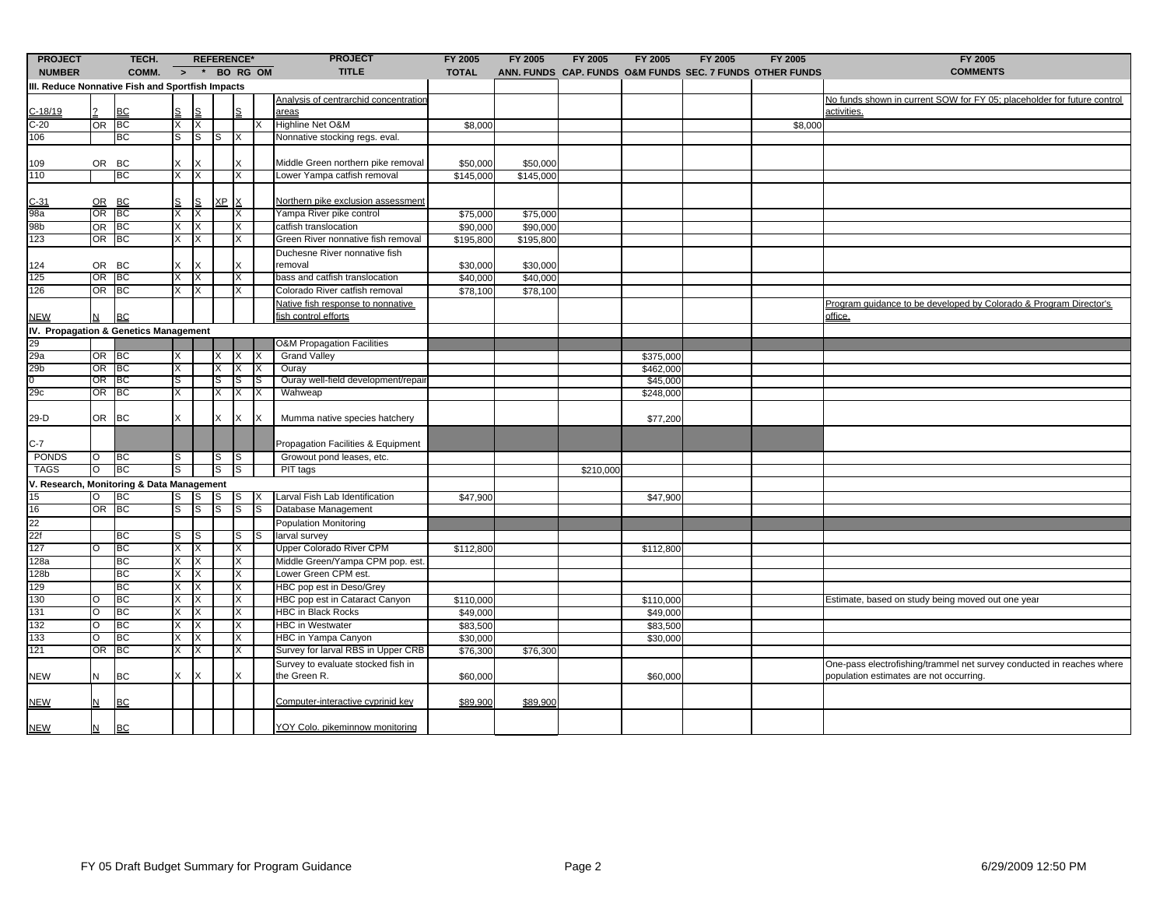| <b>PROJECT</b>                                   |             | TECH.                                     |         | <b>REFERENCE*</b> |            |           |  | <b>PROJECT</b>                                     | FY 2005      | <b>FY 2005</b> | FY 2005   | FY 2005   | FY 2005                                                  | FY 2005 | FY 2005                                                                                                          |
|--------------------------------------------------|-------------|-------------------------------------------|---------|-------------------|------------|-----------|--|----------------------------------------------------|--------------|----------------|-----------|-----------|----------------------------------------------------------|---------|------------------------------------------------------------------------------------------------------------------|
| <b>NUMBER</b>                                    |             | COMM. $>$ * BO RG OM                      |         |                   |            |           |  | <b>TITLE</b>                                       | <b>TOTAL</b> |                |           |           | ANN. FUNDS CAP. FUNDS O&M FUNDS SEC. 7 FUNDS OTHER FUNDS |         | <b>COMMENTS</b>                                                                                                  |
| III. Reduce Nonnative Fish and Sportfish Impacts |             |                                           |         |                   |            |           |  |                                                    |              |                |           |           |                                                          |         |                                                                                                                  |
|                                                  |             |                                           |         |                   |            |           |  | Analysis of centrarchid concentration              |              |                |           |           |                                                          |         | No funds shown in current SOW for FY 05: placeholder for future control                                          |
| $C - 18/19$                                      |             | <b>BC</b>                                 |         | ιs                |            | S         |  | areas                                              |              |                |           |           |                                                          |         | activities.                                                                                                      |
| $C-20$                                           |             | OR BC                                     | X       | X                 |            |           |  | Highline Net O&M                                   | \$8,000      |                |           |           |                                                          | \$8,000 |                                                                                                                  |
| 106                                              |             | BC                                        | S       | lS                | S          | IX        |  | Nonnative stocking regs. eval.                     |              |                |           |           |                                                          |         |                                                                                                                  |
| 109                                              | OR BC       |                                           |         |                   |            | X         |  | Middle Green northern pike removal                 | \$50,000     | \$50,000       |           |           |                                                          |         |                                                                                                                  |
| 110                                              |             | BC                                        | X.      | X                 |            | X         |  | Lower Yampa catfish removal                        | \$145,000    | \$145,000      |           |           |                                                          |         |                                                                                                                  |
| $C-31$                                           |             | OR BC                                     |         | S                 | XP X       |           |  | Northern pike exclusion assessment                 |              |                |           |           |                                                          |         |                                                                                                                  |
| 98a                                              |             | OR BC                                     | X.      |                   |            | X         |  | Yampa River pike control                           | \$75,000     | \$75,000       |           |           |                                                          |         |                                                                                                                  |
| 98b                                              |             | OR BC                                     | X       | X                 |            | X         |  | catfish translocation                              | \$90,000     | \$90,000       |           |           |                                                          |         |                                                                                                                  |
| 123                                              |             | OR BC                                     | X       | X                 |            | X         |  | Green River nonnative fish removal                 | \$195,800    | \$195,800      |           |           |                                                          |         |                                                                                                                  |
|                                                  |             |                                           |         |                   |            |           |  | Duchesne River nonnative fish                      |              |                |           |           |                                                          |         |                                                                                                                  |
| 124                                              |             | OR BC                                     |         |                   |            | X         |  | removal                                            | \$30,000     | \$30,000       |           |           |                                                          |         |                                                                                                                  |
| 125                                              | OR BC       |                                           | Χ       |                   |            | Χ         |  | bass and catfish translocation                     | \$40,000     | \$40,000       |           |           |                                                          |         |                                                                                                                  |
| 126                                              |             | OR BC                                     | X       | X                 |            | X         |  | Colorado River catfish removal                     | \$78,100     | \$78,100       |           |           |                                                          |         |                                                                                                                  |
|                                                  |             |                                           |         |                   |            |           |  | Native fish response to nonnative                  |              |                |           |           |                                                          |         | Program guidance to be developed by Colorado & Program Director's                                                |
| <b>NEW</b>                                       |             | <b>BC</b>                                 |         |                   |            |           |  | fish control efforts                               |              |                |           |           |                                                          |         | office.                                                                                                          |
| IV. Propagation & Genetics Management            |             |                                           |         |                   |            |           |  |                                                    |              |                |           |           |                                                          |         |                                                                                                                  |
| 29                                               |             |                                           |         |                   |            |           |  | <b>O&amp;M Propagation Facilities</b>              |              |                |           |           |                                                          |         |                                                                                                                  |
| 29a                                              | OR BC       |                                           |         |                   |            | IX.       |  | <b>Grand Valley</b>                                |              |                |           | \$375,000 |                                                          |         |                                                                                                                  |
| 29b                                              |             | OR BC                                     | Χ       |                   | $x \mid x$ |           |  | Ouray                                              |              |                |           | \$462,000 |                                                          |         |                                                                                                                  |
| O.                                               |             | OR BC                                     | S       |                   | S          | IS        |  | Ouray well-field development/repair                |              |                |           | \$45,000  |                                                          |         |                                                                                                                  |
| 29c                                              |             | OR BC                                     | Χ       |                   | $X$ $ X $  |           |  | Wahweap                                            |              |                |           | \$248,000 |                                                          |         |                                                                                                                  |
| 29-D                                             | OR          | <b>BC</b>                                 | X       |                   |            | x Ix      |  | Mumma native species hatchery                      |              |                |           | \$77,200  |                                                          |         |                                                                                                                  |
| $C-7$                                            |             |                                           |         |                   |            |           |  | Propagation Facilities & Equipment                 |              |                |           |           |                                                          |         |                                                                                                                  |
| PONDS                                            | O           | <b>BC</b>                                 | S       |                   | S          | <b>IS</b> |  | Growout pond leases, etc.                          |              |                |           |           |                                                          |         |                                                                                                                  |
| <b>TAGS</b>                                      | Ō           | BC                                        | S       |                   | S          | ls        |  | PIT tags                                           |              |                | \$210,000 |           |                                                          |         |                                                                                                                  |
|                                                  |             | V. Research, Monitoring & Data Management |         |                   |            |           |  |                                                    |              |                |           |           |                                                          |         |                                                                                                                  |
| 15                                               |             | BC                                        | S       | ls                | S          | <b>IS</b> |  | Larval Fish Lab Identification                     | \$47,900     |                |           | \$47,900  |                                                          |         |                                                                                                                  |
| 16                                               | OR          | <b>BC</b>                                 | S       | ls                | S          | ls        |  | Database Management                                |              |                |           |           |                                                          |         |                                                                                                                  |
| 22                                               |             |                                           |         |                   |            |           |  | Population Monitoring                              |              |                |           |           |                                                          |         |                                                                                                                  |
| 22f                                              |             | ВC                                        | S       | IS                |            |           |  | larval survey                                      |              |                |           |           |                                                          |         |                                                                                                                  |
| 127                                              |             | BC                                        |         |                   |            | IS        |  | Upper Colorado River CPM                           |              |                |           |           |                                                          |         |                                                                                                                  |
| 128a                                             |             | BC                                        | X.<br>X | Х                 |            | X         |  | Middle Green/Yampa CPM pop. est.                   | \$112,800    |                |           | \$112,800 |                                                          |         |                                                                                                                  |
| 128b                                             |             | ВC                                        | X       | X<br>X            |            | X<br>X    |  | Lower Green CPM est.                               |              |                |           |           |                                                          |         |                                                                                                                  |
| 129                                              |             | BC                                        | Χ       | ΙX                |            | X         |  | HBC pop est in Deso/Grey                           |              |                |           |           |                                                          |         |                                                                                                                  |
| 130                                              |             | BC                                        | X       | X                 |            | X         |  | HBC pop est in Cataract Canyon                     | \$110,000    |                |           |           |                                                          |         | Estimate, based on study being moved out one year                                                                |
| 131                                              | Ω           | BC                                        |         | X                 |            | X         |  | <b>HBC in Black Rocks</b>                          |              |                |           | \$110,000 |                                                          |         |                                                                                                                  |
|                                                  |             | BC                                        |         |                   |            |           |  | <b>HBC</b> in Westwater                            | \$49,000     |                |           | \$49,000  |                                                          |         |                                                                                                                  |
| 132                                              |             |                                           | Χ       | ΙX                |            | X         |  |                                                    | \$83,500     |                |           | \$83,500  |                                                          |         |                                                                                                                  |
| 133                                              | O           | <b>BC</b>                                 | X       | X                 |            | X         |  | HBC in Yampa Canyon                                | \$30,000     |                |           | \$30,000  |                                                          |         |                                                                                                                  |
| 121                                              | <b>OR</b>   | BC                                        | X       | X                 |            | X         |  | Survey for larval RBS in Upper CRB                 | \$76,300     | \$76,300       |           |           |                                                          |         |                                                                                                                  |
| <b>NEW</b>                                       | N           | <b>BC</b>                                 | X       | X                 |            | X         |  | Survey to evaluate stocked fish in<br>the Green R. | \$60,000     |                |           | \$60,000  |                                                          |         | One-pass electrofishing/trammel net survey conducted in reaches where<br>population estimates are not occurring. |
| <u>NEW</u>                                       |             | <b>BC</b>                                 |         |                   |            |           |  | Computer-interactive cyprinid key                  | \$89,900     | \$89,900       |           |           |                                                          |         |                                                                                                                  |
| <b>NEW</b>                                       | $\mathbf N$ | <b>BC</b>                                 |         |                   |            |           |  | YOY Colo. pikeminnow monitoring                    |              |                |           |           |                                                          |         |                                                                                                                  |